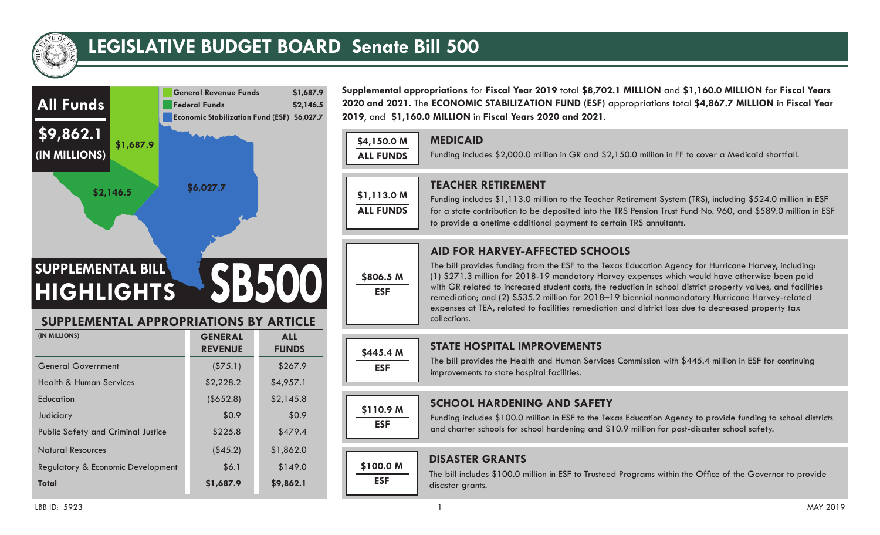

# **LEGISLATIVE BUDGET BOARD Senate Bill 500**



**Supplemental appropriations** for **Fiscal Year 2019** total **\$8,702.1 MILLION** and **\$1,160.0 MILLION** for **Fiscal Years 2020 and 2021.** The **ECONOMIC STABILIZATION FUND (ESF)** appropriations total **\$4,867.7 MILLION** in **Fiscal Year 2019**, and **\$1,160.0 MILLION** in **Fiscal Years 2020 and 2021**.

#### **MEDICAID**

Funding includes \$2,000.0 million in GR and \$2,150.0 million in FF to cover a Medicaid shortfall.

| \$1,113.0 M      |
|------------------|
| <b>ALL FUNDS</b> |

**\$4,150.0 M ALL FUNDS**

**\$806.5 M ESF**

**\$445.4 M ESF**

**\$100.0 M ESF**

**\$110.9 M ESF**

## **TEACHER RETIREMENT**

Funding includes \$1,113.0 million to the Teacher Retirement System (TRS), including \$524.0 million in ESF for a state contribution to be deposited into the TRS Pension Trust Fund No. 960, and \$589.0 million in ESF to provide a onetime additional payment to certain TRS annuitants.

# **AID FOR HARVEY-AFFECTED SCHOOLS**

The bill provides funding from the ESF to the Texas Education Agency for Hurricane Harvey, including: (1) \$271.3 million for 2018-19 mandatory Harvey expenses which would have otherwise been paid with GR related to increased student costs, the reduction in school district property values, and facilities remediation; and (2) \$535.2 million for 2018–19 biennial nonmandatory Hurricane Harvey-related expenses at TEA, related to facilities remediation and district loss due to decreased property tax collections.

# **STATE HOSPITAL IMPROVEMENTS**

The bill provides the Health and Human Services Commission with \$445.4 million in ESF for continuing improvements to state hospital facilities.

# **SCHOOL HARDENING AND SAFETY**

Funding includes \$100.0 million in ESF to the Texas Education Agency to provide funding to school districts and charter schools for school hardening and \$10.9 million for post-disaster school safety.

# **DISASTER GRANTS**

The bill includes \$100.0 million in ESF to Trusteed Programs within the Office of the Governor to provide disaster grants.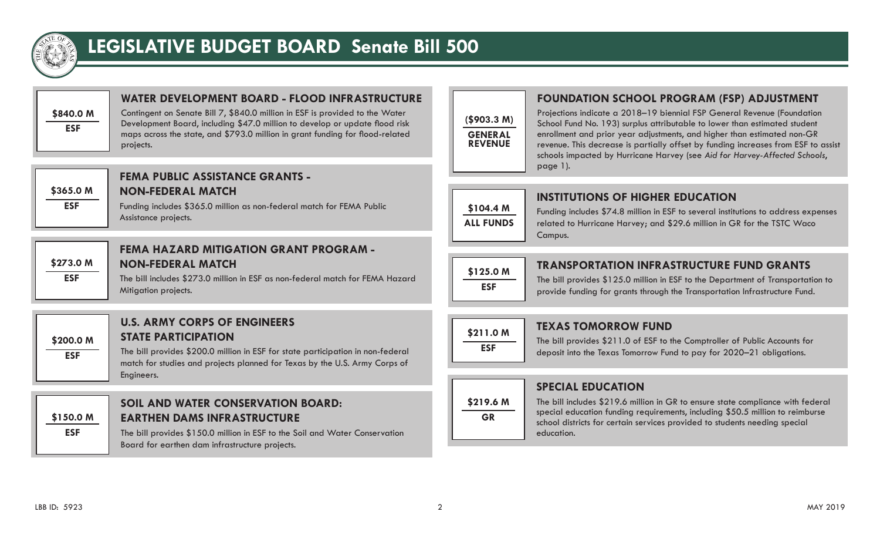

# **LEGISLATIVE BUDGET BOARD Senate Bill 500**



# **WATER DEVELOPMENT BOARD - FLOOD INFRASTRUCTURE**

Contingent on Senate Bill 7, \$840.0 million in ESF is provided to the Water Development Board, including \$47.0 million to develop or update flood risk maps across the state, and \$793.0 million in grant funding for flood-related projects.

| \$365.0 M  |
|------------|
| <b>ESF</b> |
|            |

#### **FEMA PUBLIC ASSISTANCE GRANTS - NON-FEDERAL MATCH**

Funding includes \$365.0 million as non-federal match for FEMA Public Assistance projects.



**ESF**

## **FEMA HAZARD MITIGATION GRANT PROGRAM - NON-FEDERAL MATCH**

The bill includes \$273.0 million in ESF as non-federal match for FEMA Hazard Mitigation projects.

| \$200.0 M |
|-----------|
| ESF       |
|           |

#### **U.S. ARMY CORPS OF ENGINEERS STATE PARTICIPATION**

The bill provides \$200.0 million in ESF for state participation in non-federal match for studies and projects planned for Texas by the U.S. Army Corps of Engineers.

**\$150.0 M**

**ESF**

## **SOIL AND WATER CONSERVATION BOARD: EARTHEN DAMS INFRASTRUCTURE**

The bill provides \$150.0 million in ESF to the Soil and Water Conservation Board for earthen dam infrastructure projects.

# **FOUNDATION SCHOOL PROGRAM (FSP) ADJUSTMENT**

Projections indicate a 2018–19 biennial FSP General Revenue (Foundation School Fund No. 193) surplus attributable to lower than estimated student enrollment and prior year adjustments, and higher than estimated non-GR revenue. This decrease is partially offset by funding increases from ESF to assist schools impacted by Hurricane Harvey (see *Aid for Harvey-Affected Schools*, page 1).



**(\$903.3 M) GENERAL REVENUE**

### **INSTITUTIONS OF HIGHER EDUCATION**

Funding includes \$74.8 million in ESF to several institutions to address expenses related to Hurricane Harvey; and \$29.6 million in GR for the TSTC Waco Campus.



#### **TRANSPORTATION INFRASTRUCTURE FUND GRANTS**

The bill provides \$125.0 million in ESF to the Department of Transportation to provide funding for grants through the Transportation Infrastructure Fund.

# **\$211.0 M ESF**

**\$219.6 M GR**

#### **TEXAS TOMORROW FUND**

The bill provides \$211.0 of ESF to the Comptroller of Public Accounts for deposit into the Texas Tomorrow Fund to pay for 2020–21 obligations.

# **SPECIAL EDUCATION**

The bill includes \$219.6 million in GR to ensure state compliance with federal special education funding requirements, including \$50.5 million to reimburse school districts for certain services provided to students needing special education.